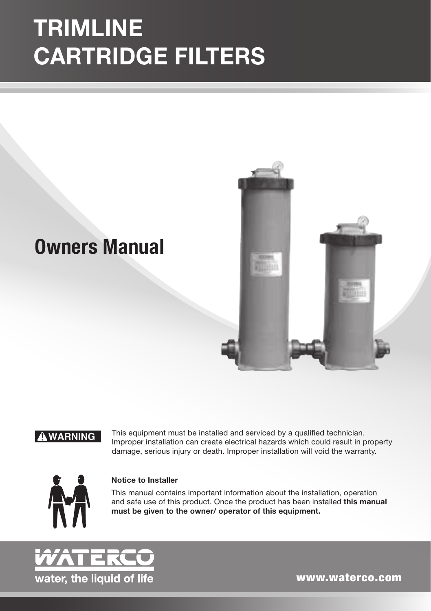# TRIMLINE CARTRIDGE FILTERS

## **Owners Manual**



! **WARNING**

This equipment must be installed and serviced by a qualified technician. Improper installation can create electrical hazards which could result in property damage, serious injury or death. Improper installation will void the warranty.



#### Notice to Installer

This manual contains important information about the installation, operation and safe use of this product. Once the product has been installed this manual must be given to the owner/ operator of this equipment.



www.waterco.com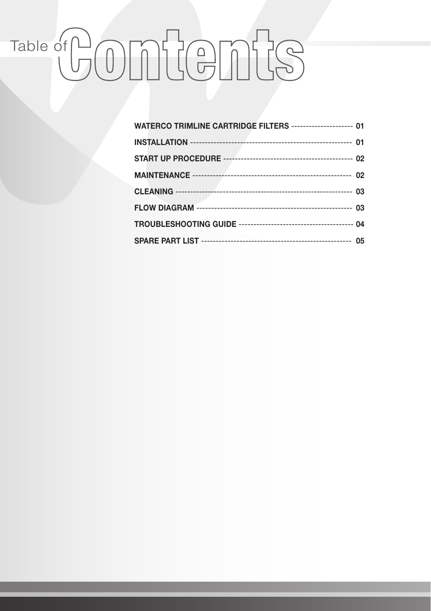# Table of COMUCEMES

| WATERCO TRIMLINE CARTRIDGE FILTERS --------------------- 01 |  |
|-------------------------------------------------------------|--|
|                                                             |  |
|                                                             |  |
|                                                             |  |
|                                                             |  |
|                                                             |  |
|                                                             |  |
|                                                             |  |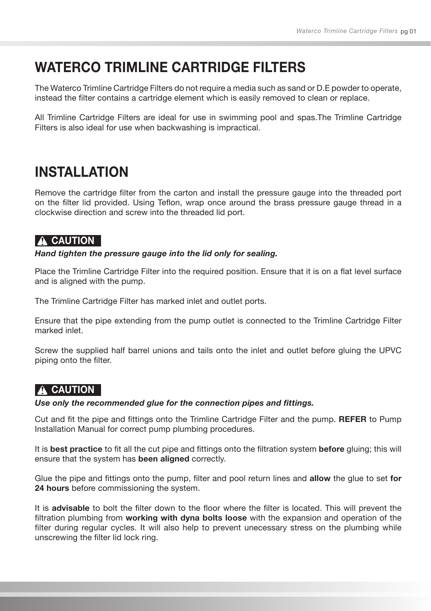## WATERCO TRIMI INF CARTRIDGE FILTERS

The Waterco Trimline Cartridge Filters do not require a media such as sand or D.E powder to operate, instead the filter contains a cartridge element which is easily removed to clean or replace.

All Trimline Cartridge Filters are ideal for use in swimming pool and spas.The Trimline Cartridge Filters is also ideal for use when backwashing is impractical.

## **INSTALLATION**

Remove the cartridge filter from the carton and install the pressure gauge into the threaded port on the filter lid provided. Using Teflon, wrap once around the brass pressure gauge thread in a clockwise direction and screw into the threaded lid port.

#### **A** CAUTION

*Hand tighten the pressure gauge into the lid only for sealing.*

Place the Trimline Cartridge Filter into the required position. Ensure that it is on a flat level surface and is aligned with the pump.

The Trimline Cartridge Filter has marked inlet and outlet ports.

Ensure that the pipe extending from the pump outlet is connected to the Trimline Cartridge Filter marked inlet.

Screw the supplied half barrel unions and tails onto the inlet and outlet before gluing the UPVC piping onto the filter.

## **A** CAUTION

#### *Use only the recommended glue for the connection pipes and fittings.*

Cut and fit the pipe and fittings onto the Trimline Cartridge Filter and the pump. REFER to Pump Installation Manual for correct pump plumbing procedures.

It is best practice to fit all the cut pipe and fittings onto the filtration system before gluing; this will ensure that the system has been aligned correctly.

Glue the pipe and fittings onto the pump, filter and pool return lines and allow the glue to set for 24 hours before commissioning the system.

It is **advisable** to bolt the filter down to the floor where the filter is located. This will prevent the filtration plumbing from working with dyna bolts loose with the expansion and operation of the filter during regular cycles. It will also help to prevent unecessary stress on the plumbing while unscrewing the filter lid lock ring.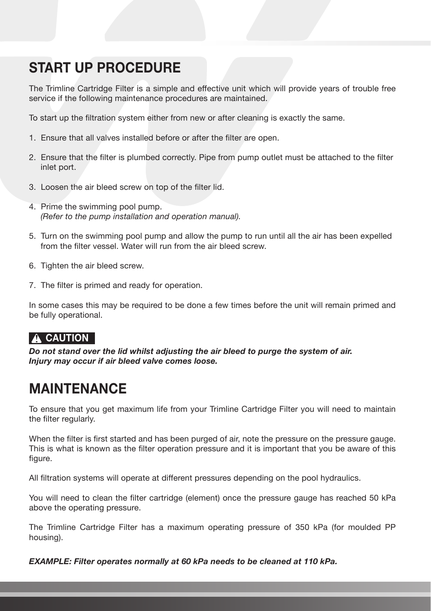## START UP PROCEDURE

The Trimline Cartridge Filter is a simple and effective unit which will provide years of trouble free service if the following maintenance procedures are maintained.

To start up the filtration system either from new or after cleaning is exactly the same.

- 1. Ensure that all valves installed before or after the filter are open.
- 2. Ensure that the filter is plumbed correctly. Pipe from pump outlet must be attached to the filter inlet port.
- 3. Loosen the air bleed screw on top of the filter lid.
- 4. Prime the swimming pool pump. *(Refer to the pump installation and operation manual).*
- 5. Turn on the swimming pool pump and allow the pump to run until all the air has been expelled from the filter vessel. Water will run from the air bleed screw.
- 6. Tighten the air bleed screw.
- 7. The filter is primed and ready for operation.

In some cases this may be required to be done a few times before the unit will remain primed and be fully operational.

## **A CAUTION**

*Do not stand over the lid whilst adjusting the air bleed to purge the system of air. Injury may occur if air bleed valve comes loose.*

## **MAINTENANCE**

To ensure that you get maximum life from your Trimline Cartridge Filter you will need to maintain the filter regularly.

When the filter is first started and has been purged of air, note the pressure on the pressure gauge. This is what is known as the filter operation pressure and it is important that you be aware of this figure.

All filtration systems will operate at different pressures depending on the pool hydraulics.

You will need to clean the filter cartridge (element) once the pressure gauge has reached 50 kPa above the operating pressure.

The Trimline Cartridge Filter has a maximum operating pressure of 350 kPa (for moulded PP housing).

*EXAMPLE: Filter operates normally at 60 kPa needs to be cleaned at 110 kPa.*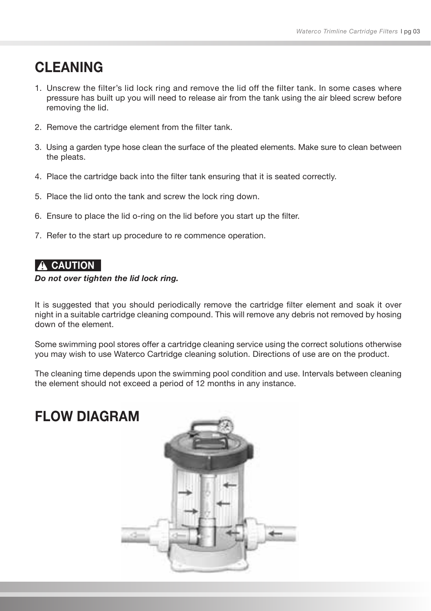## **CI FANING**

- 1. Unscrew the filter's lid lock ring and remove the lid off the filter tank. In some cases where pressure has built up you will need to release air from the tank using the air bleed screw before removing the lid.
- 2. Remove the cartridge element from the filter tank.
- 3. Using a garden type hose clean the surface of the pleated elements. Make sure to clean between the pleats.
- 4. Place the cartridge back into the filter tank ensuring that it is seated correctly.
- 5. Place the lid onto the tank and screw the lock ring down.
- 6. Ensure to place the lid o-ring on the lid before you start up the filter.
- 7. Refer to the start up procedure to re commence operation.

#### A CAUTION

#### *Do not over tighten the lid lock ring.*

It is suggested that you should periodically remove the cartridge filter element and soak it over night in a suitable cartridge cleaning compound. This will remove any debris not removed by hosing down of the element.

Some swimming pool stores offer a cartridge cleaning service using the correct solutions otherwise you may wish to use Waterco Cartridge cleaning solution. Directions of use are on the product.

The cleaning time depends upon the swimming pool condition and use. Intervals between cleaning the element should not exceed a period of 12 months in any instance.

## FLOW DIAGRAM

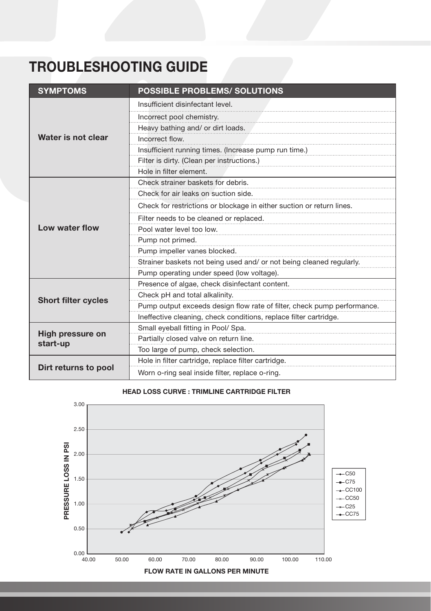## TROUBLESHOOTING GUIDE

| <b>SYMPTOMS</b>              | <b>POSSIBLE PROBLEMS/ SOLUTIONS</b>                                     |  |  |  |
|------------------------------|-------------------------------------------------------------------------|--|--|--|
| Water is not clear           | Insufficient disinfectant level.                                        |  |  |  |
|                              | Incorrect pool chemistry.                                               |  |  |  |
|                              | Heavy bathing and/ or dirt loads.                                       |  |  |  |
|                              | Incorrect flow.                                                         |  |  |  |
|                              | Insufficient running times. (Increase pump run time.)                   |  |  |  |
|                              | Filter is dirty. (Clean per instructions.)                              |  |  |  |
|                              | Hole in filter element.                                                 |  |  |  |
|                              | Check strainer baskets for debris.                                      |  |  |  |
|                              | Check for air leaks on suction side.                                    |  |  |  |
|                              | Check for restrictions or blockage in either suction or return lines.   |  |  |  |
|                              | Filter needs to be cleaned or replaced.                                 |  |  |  |
| Low water flow               | Pool water level too low.                                               |  |  |  |
|                              | Pump not primed.                                                        |  |  |  |
|                              | Pump impeller vanes blocked.                                            |  |  |  |
|                              | Strainer baskets not being used and/ or not being cleaned regularly.    |  |  |  |
|                              | Pump operating under speed (low voltage).                               |  |  |  |
|                              | Presence of algae, check disinfectant content.                          |  |  |  |
| <b>Short filter cycles</b>   | Check pH and total alkalinity.                                          |  |  |  |
|                              | Pump output exceeds design flow rate of filter, check pump performance. |  |  |  |
|                              | Ineffective cleaning, check conditions, replace filter cartridge.       |  |  |  |
| High pressure on<br>start-up | Small eyeball fitting in Pool/ Spa.                                     |  |  |  |
|                              | Partially closed valve on return line.                                  |  |  |  |
|                              | Too large of pump, check selection.                                     |  |  |  |
| Dirt returns to pool         | Hole in filter cartridge, replace filter cartridge.                     |  |  |  |
|                              | Worn o-ring seal inside filter, replace o-ring.                         |  |  |  |

#### HEAD LOSS CURVE : TRIMLINE CARTRIDGE FILTER

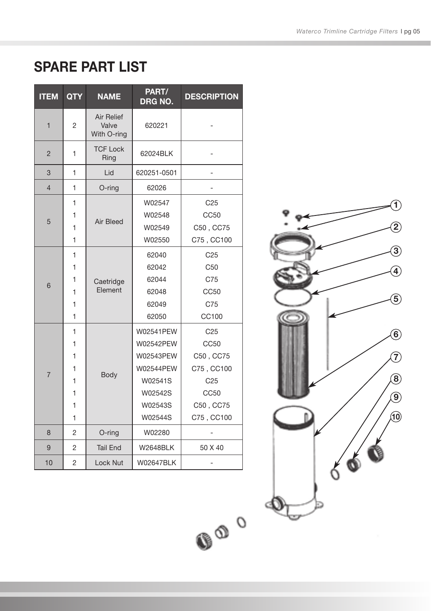## SPARE PART LIST

| <b>ITEM</b>    | <b>QTY</b>                           | <b>NAME</b>                               | PART/<br>DRG NO.                                                                             | <b>DESCRIPTION</b>                                                                                       |
|----------------|--------------------------------------|-------------------------------------------|----------------------------------------------------------------------------------------------|----------------------------------------------------------------------------------------------------------|
| $\mathbf{1}$   | 2                                    | <b>Air Relief</b><br>Valve<br>With O-ring | 620221                                                                                       |                                                                                                          |
| $\overline{2}$ | 1                                    | <b>TCF Lock</b><br>Ring                   | 62024BLK                                                                                     |                                                                                                          |
| 3              | 1                                    | Lid                                       | 620251-0501                                                                                  |                                                                                                          |
| $\overline{4}$ | 1                                    | O-ring                                    | 62026                                                                                        |                                                                                                          |
| 5              | 1<br>1<br>1<br>1                     | Air Bleed                                 | W02547<br>W02548<br>W02549<br>W02550                                                         | C <sub>25</sub><br>CC50<br>C50, CC75<br>C75, CC100                                                       |
| 6              | 1<br>1<br>1<br>1<br>1<br>1           | Caetridge<br>Element                      | 62040<br>62042<br>62044<br>62048<br>62049<br>62050                                           | C <sub>25</sub><br>C <sub>50</sub><br>C75<br>CC50<br>C75<br>CC100                                        |
| $\overline{7}$ | 1<br>1<br>1<br>1<br>1<br>1<br>1<br>1 | Body                                      | W02541PEW<br>W02542PEW<br>W02543PEW<br>W02544PEW<br>W02541S<br>W02542S<br>W02543S<br>W02544S | C <sub>25</sub><br>CC50<br>C50, CC75<br>C75, CC100<br>C <sub>25</sub><br>CC50<br>C50, CC75<br>C75, CC100 |
| 8              | $\overline{2}$                       | O-ring                                    | W02280                                                                                       |                                                                                                          |
| 9              | $\overline{2}$                       | <b>Tail End</b>                           | <b>W2648BLK</b>                                                                              | 50 X 40                                                                                                  |
| 10             | $\overline{2}$                       | <b>Lock Nut</b>                           | W02647BLK                                                                                    |                                                                                                          |

 $O_0$